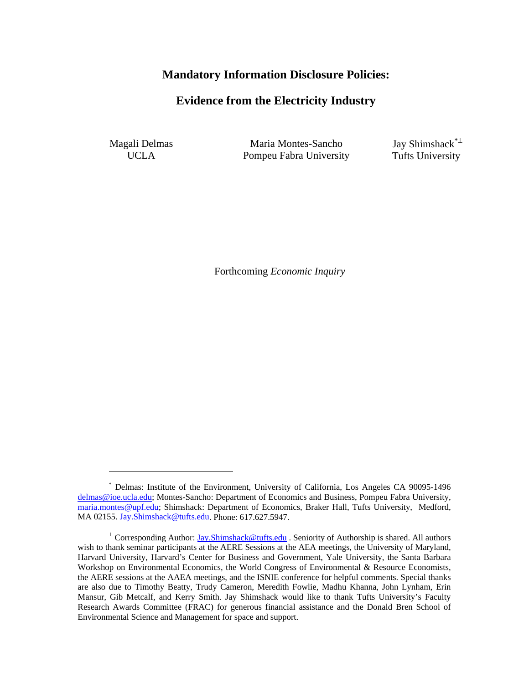# **Mandatory Information Disclosure Policies:**

# **Evidence from the Electricity Industry**

Magali Delmas UCLA

 $\overline{a}$ 

 Maria Montes-Sancho Pompeu Fabra University  Jay Shimshack\*<sup>⊥</sup> Tufts University

Forthcoming *Economic Inquiry*

<sup>\*</sup> Delmas: Institute of the Environment, University of California, Los Angeles CA 90095-1496 delmas@ioe.ucla.edu; Montes-Sancho: Department of Economics and Business, Pompeu Fabra University, maria.montes@upf.edu; Shimshack: Department of Economics, Braker Hall, Tufts University, Medford, MA 02155. Jay.Shimshack@tufts.edu. Phone: 617.627.5947.

<sup>⊥</sup> Corresponding Author: *Jay.Shimshack@tufts.edu* . Seniority of Authorship is shared. All authors wish to thank seminar participants at the AERE Sessions at the AEA meetings, the University of Maryland, Harvard University, Harvard's Center for Business and Government, Yale University, the Santa Barbara Workshop on Environmental Economics, the World Congress of Environmental & Resource Economists, the AERE sessions at the AAEA meetings, and the ISNIE conference for helpful comments. Special thanks are also due to Timothy Beatty, Trudy Cameron, Meredith Fowlie, Madhu Khanna, John Lynham, Erin Mansur, Gib Metcalf, and Kerry Smith. Jay Shimshack would like to thank Tufts University's Faculty Research Awards Committee (FRAC) for generous financial assistance and the Donald Bren School of Environmental Science and Management for space and support.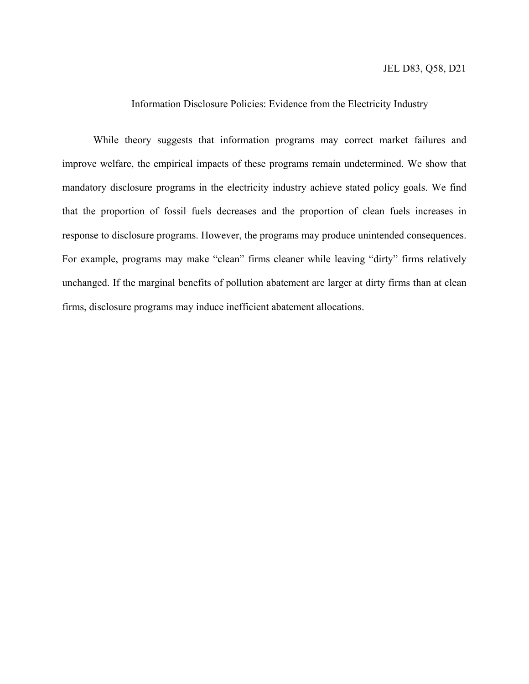#### Information Disclosure Policies: Evidence from the Electricity Industry

While theory suggests that information programs may correct market failures and improve welfare, the empirical impacts of these programs remain undetermined. We show that mandatory disclosure programs in the electricity industry achieve stated policy goals. We find that the proportion of fossil fuels decreases and the proportion of clean fuels increases in response to disclosure programs. However, the programs may produce unintended consequences. For example, programs may make "clean" firms cleaner while leaving "dirty" firms relatively unchanged. If the marginal benefits of pollution abatement are larger at dirty firms than at clean firms, disclosure programs may induce inefficient abatement allocations.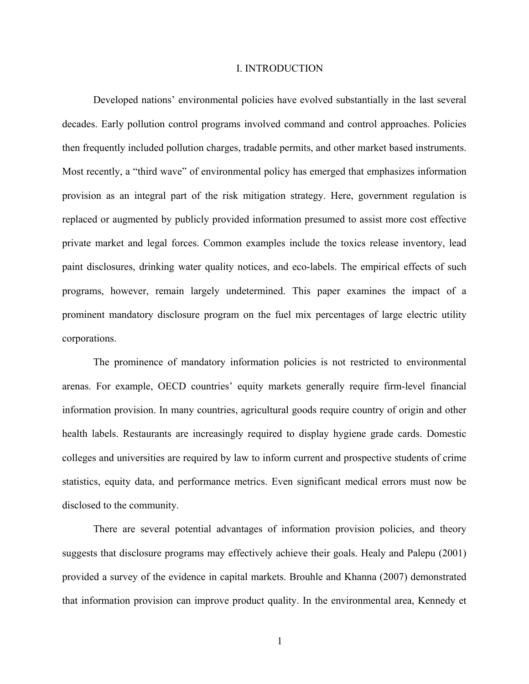#### I. INTRODUCTION

Developed nations' environmental policies have evolved substantially in the last several decades. Early pollution control programs involved command and control approaches. Policies then frequently included pollution charges, tradable permits, and other market based instruments. Most recently, a "third wave" of environmental policy has emerged that emphasizes information provision as an integral part of the risk mitigation strategy. Here, government regulation is replaced or augmented by publicly provided information presumed to assist more cost effective private market and legal forces. Common examples include the toxics release inventory, lead paint disclosures, drinking water quality notices, and eco-labels. The empirical effects of such programs, however, remain largely undetermined. This paper examines the impact of a prominent mandatory disclosure program on the fuel mix percentages of large electric utility corporations.

The prominence of mandatory information policies is not restricted to environmental arenas. For example, OECD countries' equity markets generally require firm-level financial information provision. In many countries, agricultural goods require country of origin and other health labels. Restaurants are increasingly required to display hygiene grade cards. Domestic colleges and universities are required by law to inform current and prospective students of crime statistics, equity data, and performance metrics. Even significant medical errors must now be disclosed to the community.

There are several potential advantages of information provision policies, and theory suggests that disclosure programs may effectively achieve their goals. Healy and Palepu (2001) provided a survey of the evidence in capital markets. Brouhle and Khanna (2007) demonstrated that information provision can improve product quality. In the environmental area, Kennedy et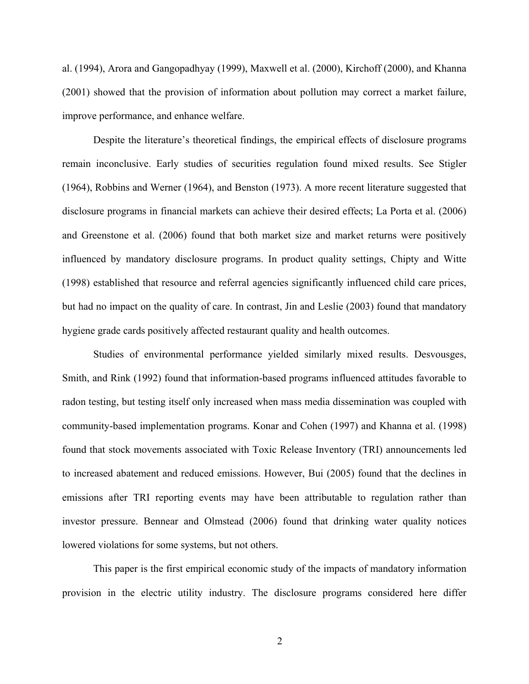al. (1994), Arora and Gangopadhyay (1999), Maxwell et al. (2000), Kirchoff (2000), and Khanna (2001) showed that the provision of information about pollution may correct a market failure, improve performance, and enhance welfare.

Despite the literature's theoretical findings, the empirical effects of disclosure programs remain inconclusive. Early studies of securities regulation found mixed results. See Stigler (1964), Robbins and Werner (1964), and Benston (1973). A more recent literature suggested that disclosure programs in financial markets can achieve their desired effects; La Porta et al. (2006) and Greenstone et al. (2006) found that both market size and market returns were positively influenced by mandatory disclosure programs. In product quality settings, Chipty and Witte (1998) established that resource and referral agencies significantly influenced child care prices, but had no impact on the quality of care. In contrast, Jin and Leslie (2003) found that mandatory hygiene grade cards positively affected restaurant quality and health outcomes.

Studies of environmental performance yielded similarly mixed results. Desvousges, Smith, and Rink (1992) found that information-based programs influenced attitudes favorable to radon testing, but testing itself only increased when mass media dissemination was coupled with community-based implementation programs. Konar and Cohen (1997) and Khanna et al. (1998) found that stock movements associated with Toxic Release Inventory (TRI) announcements led to increased abatement and reduced emissions. However, Bui (2005) found that the declines in emissions after TRI reporting events may have been attributable to regulation rather than investor pressure. Bennear and Olmstead (2006) found that drinking water quality notices lowered violations for some systems, but not others.

This paper is the first empirical economic study of the impacts of mandatory information provision in the electric utility industry. The disclosure programs considered here differ

2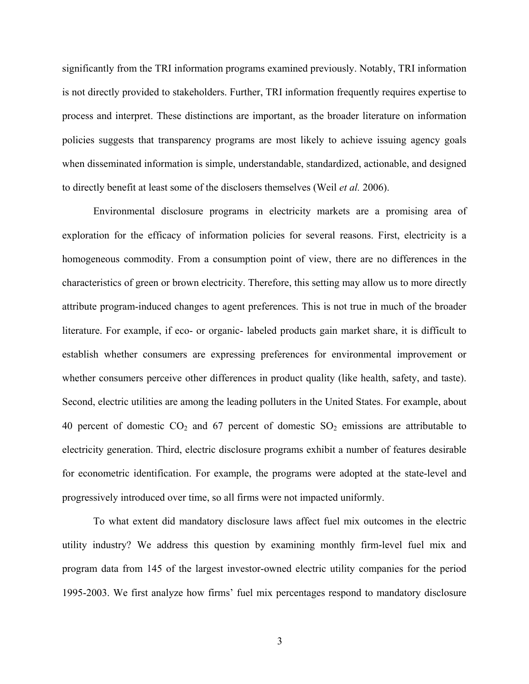significantly from the TRI information programs examined previously. Notably, TRI information is not directly provided to stakeholders. Further, TRI information frequently requires expertise to process and interpret. These distinctions are important, as the broader literature on information policies suggests that transparency programs are most likely to achieve issuing agency goals when disseminated information is simple, understandable, standardized, actionable, and designed to directly benefit at least some of the disclosers themselves (Weil *et al.* 2006).

Environmental disclosure programs in electricity markets are a promising area of exploration for the efficacy of information policies for several reasons. First, electricity is a homogeneous commodity. From a consumption point of view, there are no differences in the characteristics of green or brown electricity. Therefore, this setting may allow us to more directly attribute program-induced changes to agent preferences. This is not true in much of the broader literature. For example, if eco- or organic- labeled products gain market share, it is difficult to establish whether consumers are expressing preferences for environmental improvement or whether consumers perceive other differences in product quality (like health, safety, and taste). Second, electric utilities are among the leading polluters in the United States. For example, about 40 percent of domestic  $CO<sub>2</sub>$  and 67 percent of domestic  $SO<sub>2</sub>$  emissions are attributable to electricity generation. Third, electric disclosure programs exhibit a number of features desirable for econometric identification. For example, the programs were adopted at the state-level and progressively introduced over time, so all firms were not impacted uniformly.

To what extent did mandatory disclosure laws affect fuel mix outcomes in the electric utility industry? We address this question by examining monthly firm-level fuel mix and program data from 145 of the largest investor-owned electric utility companies for the period 1995-2003. We first analyze how firms' fuel mix percentages respond to mandatory disclosure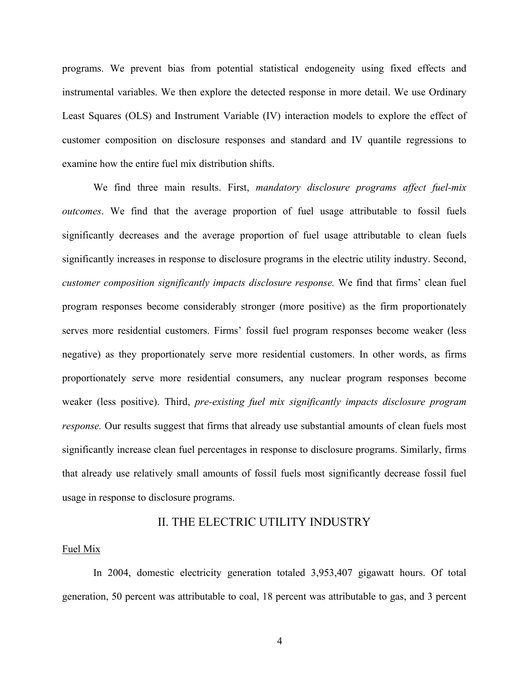programs. We prevent bias from potential statistical endogeneity using fixed effects and instrumental variables. We then explore the detected response in more detail. We use Ordinary Least Squares (OLS) and Instrument Variable (IV) interaction models to explore the effect of customer composition on disclosure responses and standard and IV quantile regressions to examine how the entire fuel mix distribution shifts.

We find three main results. First, *mandatory disclosure programs affect fuel-mix outcomes*. We find that the average proportion of fuel usage attributable to fossil fuels significantly decreases and the average proportion of fuel usage attributable to clean fuels significantly increases in response to disclosure programs in the electric utility industry. Second, *customer composition significantly impacts disclosure response.* We find that firms' clean fuel program responses become considerably stronger (more positive) as the firm proportionately serves more residential customers. Firms' fossil fuel program responses become weaker (less negative) as they proportionately serve more residential customers. In other words, as firms proportionately serve more residential consumers, any nuclear program responses become weaker (less positive). Third, *pre-existing fuel mix significantly impacts disclosure program response*. Our results suggest that firms that already use substantial amounts of clean fuels most significantly increase clean fuel percentages in response to disclosure programs. Similarly, firms that already use relatively small amounts of fossil fuels most significantly decrease fossil fuel usage in response to disclosure programs.

## II. THE ELECTRIC UTILITY INDUSTRY

#### Fuel Mix

In 2004, domestic electricity generation totaled 3,953,407 gigawatt hours. Of total generation, 50 percent was attributable to coal, 18 percent was attributable to gas, and 3 percent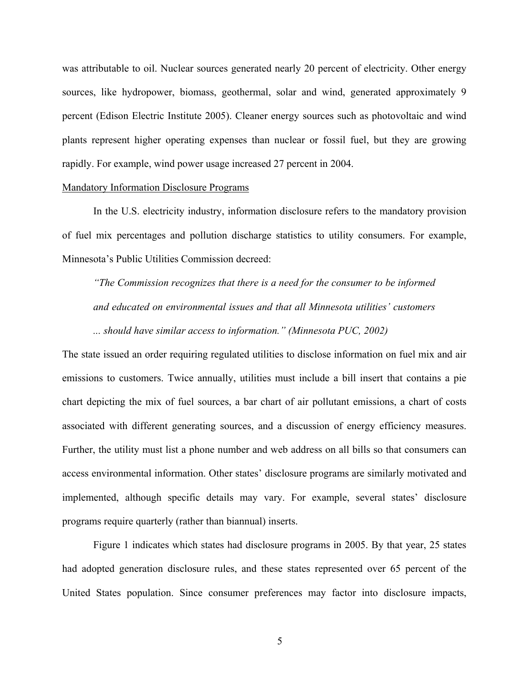was attributable to oil. Nuclear sources generated nearly 20 percent of electricity. Other energy sources, like hydropower, biomass, geothermal, solar and wind, generated approximately 9 percent (Edison Electric Institute 2005). Cleaner energy sources such as photovoltaic and wind plants represent higher operating expenses than nuclear or fossil fuel, but they are growing rapidly. For example, wind power usage increased 27 percent in 2004.

#### Mandatory Information Disclosure Programs

 In the U.S. electricity industry, information disclosure refers to the mandatory provision of fuel mix percentages and pollution discharge statistics to utility consumers. For example, Minnesota's Public Utilities Commission decreed:

*"The Commission recognizes that there is a need for the consumer to be informed and educated on environmental issues and that all Minnesota utilities' customers ... should have similar access to information." (Minnesota PUC, 2002)* 

The state issued an order requiring regulated utilities to disclose information on fuel mix and air emissions to customers. Twice annually, utilities must include a bill insert that contains a pie chart depicting the mix of fuel sources, a bar chart of air pollutant emissions, a chart of costs associated with different generating sources, and a discussion of energy efficiency measures. Further, the utility must list a phone number and web address on all bills so that consumers can access environmental information. Other states' disclosure programs are similarly motivated and implemented, although specific details may vary. For example, several states' disclosure programs require quarterly (rather than biannual) inserts.

Figure 1 indicates which states had disclosure programs in 2005. By that year, 25 states had adopted generation disclosure rules, and these states represented over 65 percent of the United States population. Since consumer preferences may factor into disclosure impacts,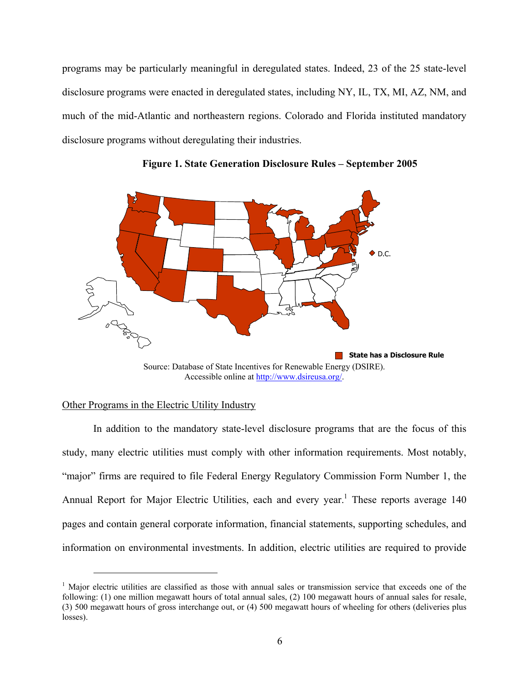programs may be particularly meaningful in deregulated states. Indeed, 23 of the 25 state-level disclosure programs were enacted in deregulated states, including NY, IL, TX, MI, AZ, NM, and much of the mid-Atlantic and northeastern regions. Colorado and Florida instituted mandatory disclosure programs without deregulating their industries.



**Figure 1. State Generation Disclosure Rules – September 2005** 

### Other Programs in the Electric Utility Industry

i<br>L

In addition to the mandatory state-level disclosure programs that are the focus of this study, many electric utilities must comply with other information requirements. Most notably, "major" firms are required to file Federal Energy Regulatory Commission Form Number 1, the Annual Report for Major Electric Utilities, each and every year.<sup>1</sup> These reports average 140 pages and contain general corporate information, financial statements, supporting schedules, and information on environmental investments. In addition, electric utilities are required to provide

Source: Database of State Incentives for Renewable Energy (DSIRE). Accessible online at http://www.dsireusa.org/.

<sup>&</sup>lt;sup>1</sup> Major electric utilities are classified as those with annual sales or transmission service that exceeds one of the following: (1) one million megawatt hours of total annual sales, (2) 100 megawatt hours of annual sales for resale, (3) 500 megawatt hours of gross interchange out, or (4) 500 megawatt hours of wheeling for others (deliveries plus losses).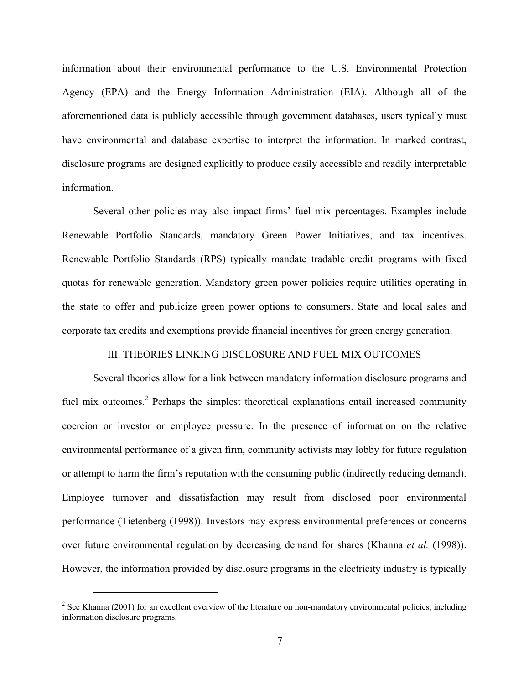information about their environmental performance to the U.S. Environmental Protection Agency (EPA) and the Energy Information Administration (EIA). Although all of the aforementioned data is publicly accessible through government databases, users typically must have environmental and database expertise to interpret the information. In marked contrast, disclosure programs are designed explicitly to produce easily accessible and readily interpretable information.

 Several other policies may also impact firms' fuel mix percentages. Examples include Renewable Portfolio Standards, mandatory Green Power Initiatives, and tax incentives. Renewable Portfolio Standards (RPS) typically mandate tradable credit programs with fixed quotas for renewable generation. Mandatory green power policies require utilities operating in the state to offer and publicize green power options to consumers. State and local sales and corporate tax credits and exemptions provide financial incentives for green energy generation.

### III. THEORIES LINKING DISCLOSURE AND FUEL MIX OUTCOMES

Several theories allow for a link between mandatory information disclosure programs and fuel mix outcomes.<sup>2</sup> Perhaps the simplest theoretical explanations entail increased community coercion or investor or employee pressure. In the presence of information on the relative environmental performance of a given firm, community activists may lobby for future regulation or attempt to harm the firm's reputation with the consuming public (indirectly reducing demand). Employee turnover and dissatisfaction may result from disclosed poor environmental performance (Tietenberg (1998)). Investors may express environmental preferences or concerns over future environmental regulation by decreasing demand for shares (Khanna *et al.* (1998)). However, the information provided by disclosure programs in the electricity industry is typically

i

 $2^2$  See Khanna (2001) for an excellent overview of the literature on non-mandatory environmental policies, including information disclosure programs.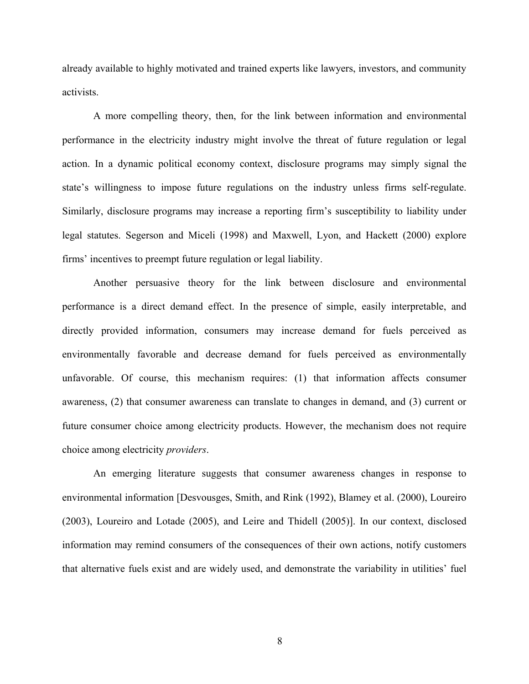already available to highly motivated and trained experts like lawyers, investors, and community activists.

A more compelling theory, then, for the link between information and environmental performance in the electricity industry might involve the threat of future regulation or legal action. In a dynamic political economy context, disclosure programs may simply signal the state's willingness to impose future regulations on the industry unless firms self-regulate. Similarly, disclosure programs may increase a reporting firm's susceptibility to liability under legal statutes. Segerson and Miceli (1998) and Maxwell, Lyon, and Hackett (2000) explore firms' incentives to preempt future regulation or legal liability.

Another persuasive theory for the link between disclosure and environmental performance is a direct demand effect. In the presence of simple, easily interpretable, and directly provided information, consumers may increase demand for fuels perceived as environmentally favorable and decrease demand for fuels perceived as environmentally unfavorable. Of course, this mechanism requires: (1) that information affects consumer awareness, (2) that consumer awareness can translate to changes in demand, and (3) current or future consumer choice among electricity products. However, the mechanism does not require choice among electricity *providers*.

An emerging literature suggests that consumer awareness changes in response to environmental information [Desvousges, Smith, and Rink (1992), Blamey et al. (2000), Loureiro (2003), Loureiro and Lotade (2005), and Leire and Thidell (2005)]. In our context, disclosed information may remind consumers of the consequences of their own actions, notify customers that alternative fuels exist and are widely used, and demonstrate the variability in utilities' fuel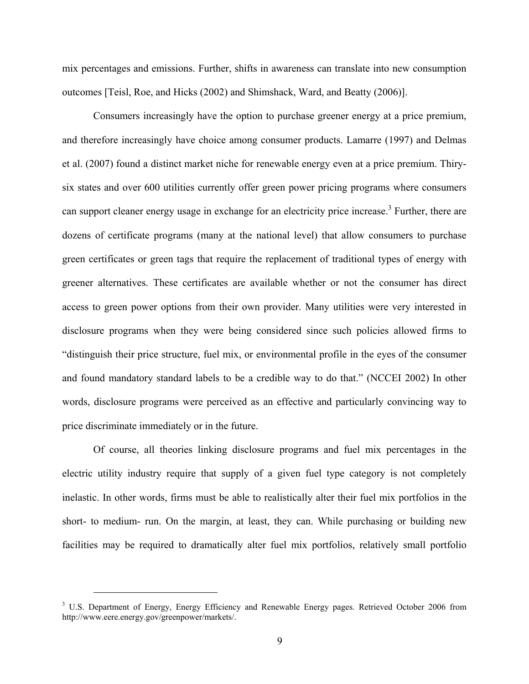mix percentages and emissions. Further, shifts in awareness can translate into new consumption outcomes [Teisl, Roe, and Hicks (2002) and Shimshack, Ward, and Beatty (2006)].

Consumers increasingly have the option to purchase greener energy at a price premium, and therefore increasingly have choice among consumer products. Lamarre (1997) and Delmas et al. (2007) found a distinct market niche for renewable energy even at a price premium. Thirysix states and over 600 utilities currently offer green power pricing programs where consumers can support cleaner energy usage in exchange for an electricity price increase.<sup>3</sup> Further, there are dozens of certificate programs (many at the national level) that allow consumers to purchase green certificates or green tags that require the replacement of traditional types of energy with greener alternatives. These certificates are available whether or not the consumer has direct access to green power options from their own provider. Many utilities were very interested in disclosure programs when they were being considered since such policies allowed firms to "distinguish their price structure, fuel mix, or environmental profile in the eyes of the consumer and found mandatory standard labels to be a credible way to do that." (NCCEI 2002) In other words, disclosure programs were perceived as an effective and particularly convincing way to price discriminate immediately or in the future.

Of course, all theories linking disclosure programs and fuel mix percentages in the electric utility industry require that supply of a given fuel type category is not completely inelastic. In other words, firms must be able to realistically alter their fuel mix portfolios in the short- to medium- run. On the margin, at least, they can. While purchasing or building new facilities may be required to dramatically alter fuel mix portfolios, relatively small portfolio

i

<sup>&</sup>lt;sup>3</sup> U.S. Department of Energy, Energy Efficiency and Renewable Energy pages. Retrieved October 2006 from http://www.eere.energy.gov/greenpower/markets/.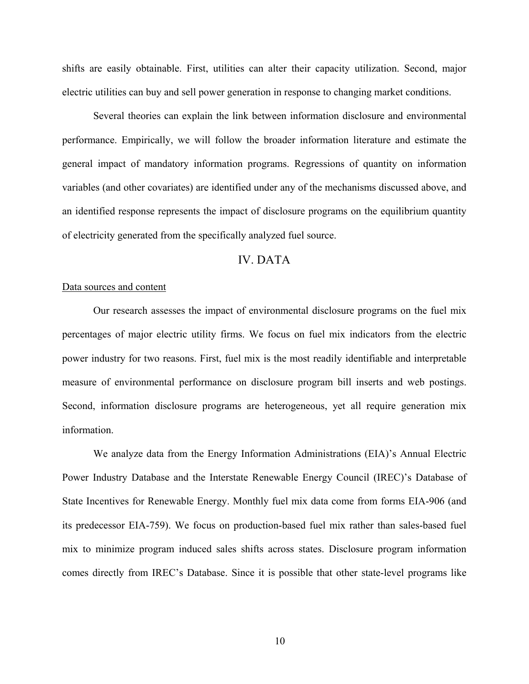shifts are easily obtainable. First, utilities can alter their capacity utilization. Second, major electric utilities can buy and sell power generation in response to changing market conditions.

Several theories can explain the link between information disclosure and environmental performance. Empirically, we will follow the broader information literature and estimate the general impact of mandatory information programs. Regressions of quantity on information variables (and other covariates) are identified under any of the mechanisms discussed above, and an identified response represents the impact of disclosure programs on the equilibrium quantity of electricity generated from the specifically analyzed fuel source.

## IV. DATA

#### Data sources and content

Our research assesses the impact of environmental disclosure programs on the fuel mix percentages of major electric utility firms. We focus on fuel mix indicators from the electric power industry for two reasons. First, fuel mix is the most readily identifiable and interpretable measure of environmental performance on disclosure program bill inserts and web postings. Second, information disclosure programs are heterogeneous, yet all require generation mix information.

We analyze data from the Energy Information Administrations (EIA)'s Annual Electric Power Industry Database and the Interstate Renewable Energy Council (IREC)'s Database of State Incentives for Renewable Energy. Monthly fuel mix data come from forms EIA-906 (and its predecessor EIA-759). We focus on production-based fuel mix rather than sales-based fuel mix to minimize program induced sales shifts across states. Disclosure program information comes directly from IREC's Database. Since it is possible that other state-level programs like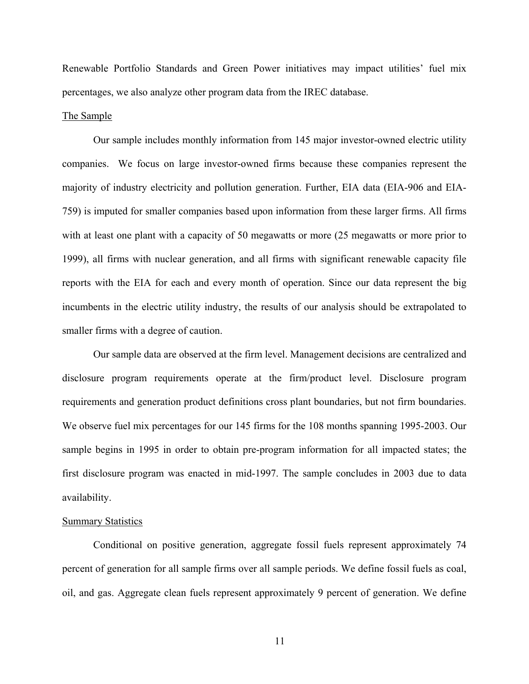Renewable Portfolio Standards and Green Power initiatives may impact utilities' fuel mix percentages, we also analyze other program data from the IREC database.

#### The Sample

 Our sample includes monthly information from 145 major investor-owned electric utility companies. We focus on large investor-owned firms because these companies represent the majority of industry electricity and pollution generation. Further, EIA data (EIA-906 and EIA-759) is imputed for smaller companies based upon information from these larger firms. All firms with at least one plant with a capacity of 50 megawatts or more (25 megawatts or more prior to 1999), all firms with nuclear generation, and all firms with significant renewable capacity file reports with the EIA for each and every month of operation. Since our data represent the big incumbents in the electric utility industry, the results of our analysis should be extrapolated to smaller firms with a degree of caution.

 Our sample data are observed at the firm level. Management decisions are centralized and disclosure program requirements operate at the firm/product level. Disclosure program requirements and generation product definitions cross plant boundaries, but not firm boundaries. We observe fuel mix percentages for our 145 firms for the 108 months spanning 1995-2003. Our sample begins in 1995 in order to obtain pre-program information for all impacted states; the first disclosure program was enacted in mid-1997. The sample concludes in 2003 due to data availability.

### Summary Statistics

Conditional on positive generation, aggregate fossil fuels represent approximately 74 percent of generation for all sample firms over all sample periods. We define fossil fuels as coal, oil, and gas. Aggregate clean fuels represent approximately 9 percent of generation. We define

11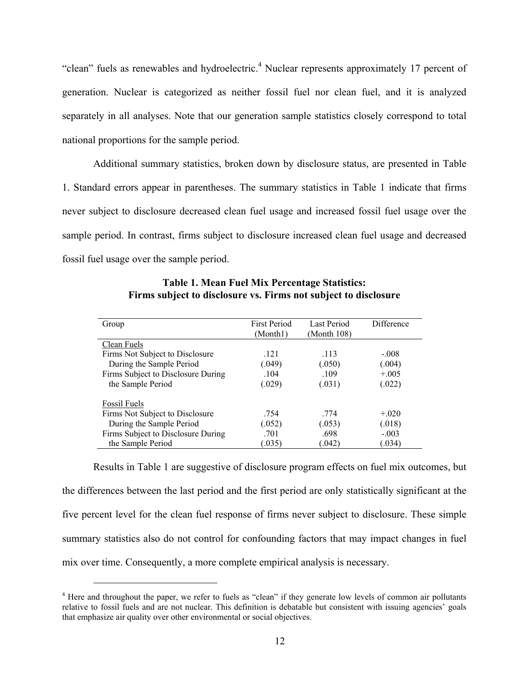"clean" fuels as renewables and hydroelectric.<sup>4</sup> Nuclear represents approximately 17 percent of generation. Nuclear is categorized as neither fossil fuel nor clean fuel, and it is analyzed separately in all analyses. Note that our generation sample statistics closely correspond to total national proportions for the sample period.

Additional summary statistics, broken down by disclosure status, are presented in Table 1. Standard errors appear in parentheses. The summary statistics in Table 1 indicate that firms never subject to disclosure decreased clean fuel usage and increased fossil fuel usage over the sample period. In contrast, firms subject to disclosure increased clean fuel usage and decreased fossil fuel usage over the sample period.

| Group                              | <b>First Period</b> | Last Period | Difference |  |
|------------------------------------|---------------------|-------------|------------|--|
|                                    | (Month1)            | (Month 108) |            |  |
| Clean Fuels                        |                     |             |            |  |
| Firms Not Subject to Disclosure    | .121                | .113        | $-.008$    |  |
| During the Sample Period           | (.049)              | (.050)      | (.004)     |  |
| Firms Subject to Disclosure During | .104                | .109        | $+.005$    |  |
| the Sample Period                  | (.029)              | (.031)      | (.022)     |  |
| <b>Fossil Fuels</b>                |                     |             |            |  |
| Firms Not Subject to Disclosure    | .754                | .774        | $+.020$    |  |
| During the Sample Period           | (.052)              | (.053)      | (.018)     |  |
| Firms Subject to Disclosure During | .701                | .698        | $-.003$    |  |
| the Sample Period                  | (.035)              | (.042)      | (.034)     |  |

**Table 1. Mean Fuel Mix Percentage Statistics: Firms subject to disclosure vs. Firms not subject to disclosure**

Results in Table 1 are suggestive of disclosure program effects on fuel mix outcomes, but the differences between the last period and the first period are only statistically significant at the five percent level for the clean fuel response of firms never subject to disclosure. These simple summary statistics also do not control for confounding factors that may impact changes in fuel mix over time. Consequently, a more complete empirical analysis is necessary.

i

<sup>&</sup>lt;sup>4</sup> Here and throughout the paper, we refer to fuels as "clean" if they generate low levels of common air pollutants relative to fossil fuels and are not nuclear. This definition is debatable but consistent with issuing agencies' goals that emphasize air quality over other environmental or social objectives.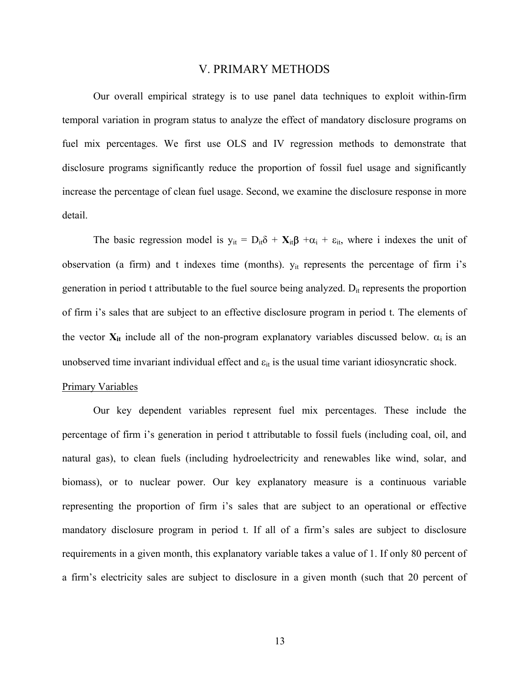### V. PRIMARY METHODS

Our overall empirical strategy is to use panel data techniques to exploit within-firm temporal variation in program status to analyze the effect of mandatory disclosure programs on fuel mix percentages. We first use OLS and IV regression methods to demonstrate that disclosure programs significantly reduce the proportion of fossil fuel usage and significantly increase the percentage of clean fuel usage. Second, we examine the disclosure response in more detail.

The basic regression model is  $y_{it} = D_{it}\delta + X_{it}\beta + \alpha_i + \varepsilon_{it}$ , where i indexes the unit of observation (a firm) and t indexes time (months).  $y_{it}$  represents the percentage of firm i's generation in period t attributable to the fuel source being analyzed.  $D_{it}$  represents the proportion of firm i's sales that are subject to an effective disclosure program in period t. The elements of the vector  $X_{it}$  include all of the non-program explanatory variables discussed below.  $\alpha_i$  is an unobserved time invariant individual effect and  $\varepsilon_{it}$  is the usual time variant idiosyncratic shock.

#### Primary Variables

Our key dependent variables represent fuel mix percentages. These include the percentage of firm i's generation in period t attributable to fossil fuels (including coal, oil, and natural gas), to clean fuels (including hydroelectricity and renewables like wind, solar, and biomass), or to nuclear power. Our key explanatory measure is a continuous variable representing the proportion of firm i's sales that are subject to an operational or effective mandatory disclosure program in period t. If all of a firm's sales are subject to disclosure requirements in a given month, this explanatory variable takes a value of 1. If only 80 percent of a firm's electricity sales are subject to disclosure in a given month (such that 20 percent of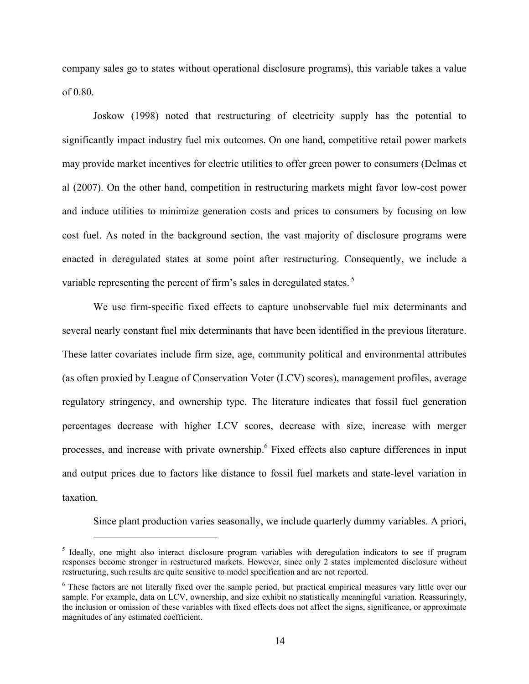company sales go to states without operational disclosure programs), this variable takes a value of 0.80.

Joskow (1998) noted that restructuring of electricity supply has the potential to significantly impact industry fuel mix outcomes. On one hand, competitive retail power markets may provide market incentives for electric utilities to offer green power to consumers (Delmas et al (2007). On the other hand, competition in restructuring markets might favor low-cost power and induce utilities to minimize generation costs and prices to consumers by focusing on low cost fuel. As noted in the background section, the vast majority of disclosure programs were enacted in deregulated states at some point after restructuring. Consequently, we include a variable representing the percent of firm's sales in deregulated states.<sup>5</sup>

We use firm-specific fixed effects to capture unobservable fuel mix determinants and several nearly constant fuel mix determinants that have been identified in the previous literature. These latter covariates include firm size, age, community political and environmental attributes (as often proxied by League of Conservation Voter (LCV) scores), management profiles, average regulatory stringency, and ownership type. The literature indicates that fossil fuel generation percentages decrease with higher LCV scores, decrease with size, increase with merger processes, and increase with private ownership.<sup>6</sup> Fixed effects also capture differences in input and output prices due to factors like distance to fossil fuel markets and state-level variation in taxation.

Since plant production varies seasonally, we include quarterly dummy variables. A priori,

i<br>L

<sup>&</sup>lt;sup>5</sup> Ideally, one might also interact disclosure program variables with deregulation indicators to see if program responses become stronger in restructured markets. However, since only 2 states implemented disclosure without restructuring, such results are quite sensitive to model specification and are not reported.

<sup>&</sup>lt;sup>6</sup> These factors are not literally fixed over the sample period, but practical empirical measures vary little over our sample. For example, data on LCV, ownership, and size exhibit no statistically meaningful variation. Reassuringly, the inclusion or omission of these variables with fixed effects does not affect the signs, significance, or approximate magnitudes of any estimated coefficient.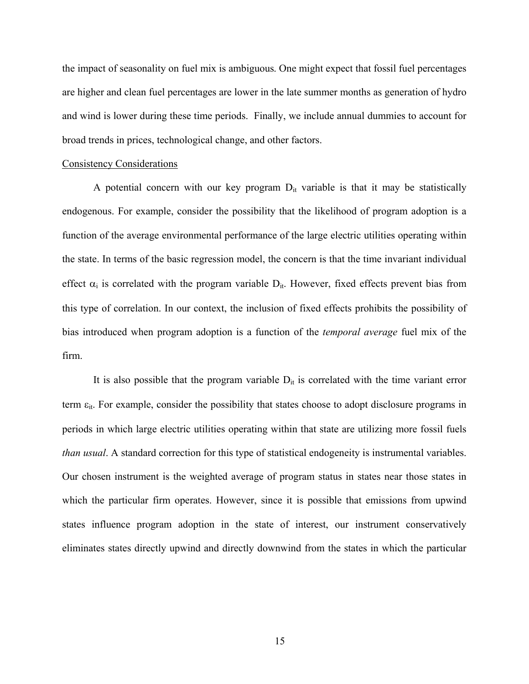the impact of seasonality on fuel mix is ambiguous. One might expect that fossil fuel percentages are higher and clean fuel percentages are lower in the late summer months as generation of hydro and wind is lower during these time periods. Finally, we include annual dummies to account for broad trends in prices, technological change, and other factors.

#### Consistency Considerations

A potential concern with our key program  $D_{it}$  variable is that it may be statistically endogenous. For example, consider the possibility that the likelihood of program adoption is a function of the average environmental performance of the large electric utilities operating within the state. In terms of the basic regression model, the concern is that the time invariant individual effect  $\alpha_i$  is correlated with the program variable  $D_{it}$ . However, fixed effects prevent bias from this type of correlation. In our context, the inclusion of fixed effects prohibits the possibility of bias introduced when program adoption is a function of the *temporal average* fuel mix of the firm.

It is also possible that the program variable  $D_{it}$  is correlated with the time variant error term  $\varepsilon_{it}$ . For example, consider the possibility that states choose to adopt disclosure programs in periods in which large electric utilities operating within that state are utilizing more fossil fuels *than usual*. A standard correction for this type of statistical endogeneity is instrumental variables. Our chosen instrument is the weighted average of program status in states near those states in which the particular firm operates. However, since it is possible that emissions from upwind states influence program adoption in the state of interest, our instrument conservatively eliminates states directly upwind and directly downwind from the states in which the particular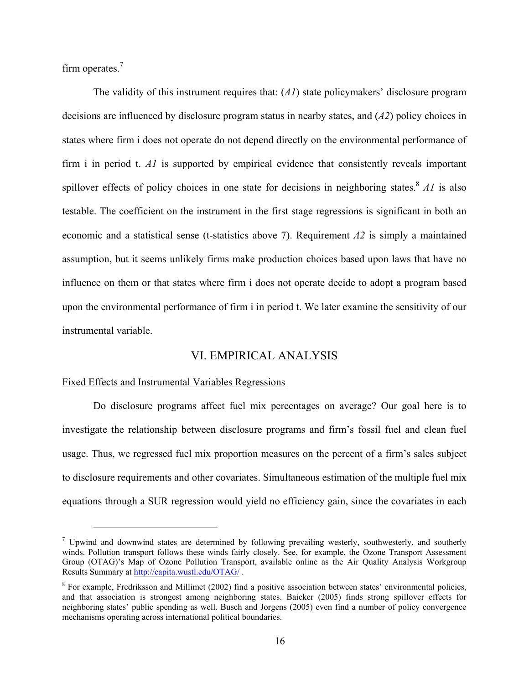firm operates.<sup>7</sup>

i

The validity of this instrument requires that: (*A1*) state policymakers' disclosure program decisions are influenced by disclosure program status in nearby states, and (*A2*) policy choices in states where firm i does not operate do not depend directly on the environmental performance of firm i in period t. *A1* is supported by empirical evidence that consistently reveals important spillover effects of policy choices in one state for decisions in neighboring states.<sup>8</sup> *A1* is also testable. The coefficient on the instrument in the first stage regressions is significant in both an economic and a statistical sense (t-statistics above 7). Requirement *A2* is simply a maintained assumption, but it seems unlikely firms make production choices based upon laws that have no influence on them or that states where firm i does not operate decide to adopt a program based upon the environmental performance of firm i in period t. We later examine the sensitivity of our instrumental variable.

## VI. EMPIRICAL ANALYSIS

#### Fixed Effects and Instrumental Variables Regressions

Do disclosure programs affect fuel mix percentages on average? Our goal here is to investigate the relationship between disclosure programs and firm's fossil fuel and clean fuel usage. Thus, we regressed fuel mix proportion measures on the percent of a firm's sales subject to disclosure requirements and other covariates. Simultaneous estimation of the multiple fuel mix equations through a SUR regression would yield no efficiency gain, since the covariates in each

<sup>&</sup>lt;sup>7</sup> Upwind and downwind states are determined by following prevailing westerly, southwesterly, and southerly winds. Pollution transport follows these winds fairly closely. See, for example, the Ozone Transport Assessment Group (OTAG)'s Map of Ozone Pollution Transport, available online as the Air Quality Analysis Workgroup Results Summary at http://capita.wustl.edu/OTAG/ .

 $8$  For example, Fredriksson and Millimet (2002) find a positive association between states' environmental policies, and that association is strongest among neighboring states. Baicker (2005) finds strong spillover effects for neighboring states' public spending as well. Busch and Jorgens (2005) even find a number of policy convergence mechanisms operating across international political boundaries.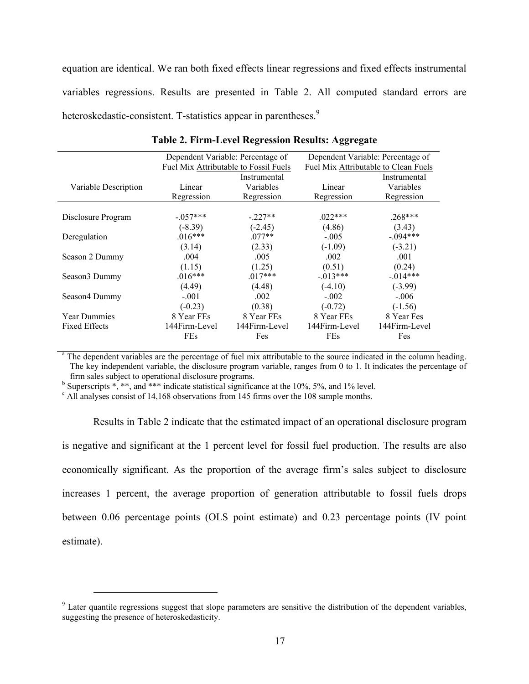equation are identical. We ran both fixed effects linear regressions and fixed effects instrumental variables regressions. Results are presented in Table 2. All computed standard errors are heteroskedastic-consistent. T-statistics appear in parentheses.<sup>9</sup>

|                           | Dependent Variable: Percentage of     |                     | Dependent Variable: Percentage of    |               |  |  |
|---------------------------|---------------------------------------|---------------------|--------------------------------------|---------------|--|--|
|                           | Fuel Mix Attributable to Fossil Fuels |                     | Fuel Mix Attributable to Clean Fuels |               |  |  |
|                           |                                       | Instrumental        | Instrumental                         |               |  |  |
| Variable Description      | Linear                                | Variables<br>Linear |                                      | Variables     |  |  |
|                           | Regression                            | Regression          | Regression                           | Regression    |  |  |
|                           |                                       |                     |                                      |               |  |  |
| Disclosure Program        | $-.057***$                            | $-227**$            | $022***$                             | $.268***$     |  |  |
|                           | $(-8.39)$                             | $(-2.45)$           | (4.86)                               | (3.43)        |  |  |
| Deregulation              | $.016***$                             | $.077**$            | $-.005$                              | $-0.094***$   |  |  |
|                           | (3.14)                                | (2.33)              | $(-1.09)$                            | $(-3.21)$     |  |  |
| Season 2 Dummy            | .004                                  | .005                | .002                                 | .001          |  |  |
|                           | (1.15)                                | (1.25)              | (0.51)                               | (0.24)        |  |  |
| Season <sub>3</sub> Dummy | $.016***$                             | $.017***$           | $-0.013***$                          | $-014***$     |  |  |
|                           | (4.49)                                | (4.48)              | $(-4.10)$                            | $(-3.99)$     |  |  |
| Season4 Dummy             | $-.001$                               | .002                | $-.002$                              | $-.006$       |  |  |
|                           | $(-0.23)$                             | (0.38)              | $(-0.72)$                            | $(-1.56)$     |  |  |
| <b>Year Dummies</b>       | 8 Year FEs                            | 8 Year FEs          | 8 Year FEs                           | 8 Year Fes    |  |  |
| <b>Fixed Effects</b>      | 144Firm-Level                         | 144Firm-Level       | 144Firm-Level                        | 144Firm-Level |  |  |
|                           | <b>FEs</b>                            | Fes                 | <b>FEs</b>                           | Fes           |  |  |
|                           |                                       |                     |                                      |               |  |  |

**Table 2. Firm-Level Regression Results: Aggregate** 

<sup>a</sup> The dependent variables are the percentage of fuel mix attributable to the source indicated in the column heading. The key independent variable, the disclosure program variable, ranges from 0 to 1. It indicates the percentage of firm sales subject to operational disclosure programs.

<sup>b</sup> Superscripts  $\ast$ ,  $\ast\ast$ , and  $\ast\ast\ast$  indicate statistical significance at the 10%, 5%, and 1% level.

<sup>c</sup> All analyses consist of 14,168 observations from 145 firms over the 108 sample months.

i

Results in Table 2 indicate that the estimated impact of an operational disclosure program is negative and significant at the 1 percent level for fossil fuel production. The results are also economically significant. As the proportion of the average firm's sales subject to disclosure increases 1 percent, the average proportion of generation attributable to fossil fuels drops between 0.06 percentage points (OLS point estimate) and 0.23 percentage points (IV point estimate).

 $9$  Later quantile regressions suggest that slope parameters are sensitive the distribution of the dependent variables, suggesting the presence of heteroskedasticity.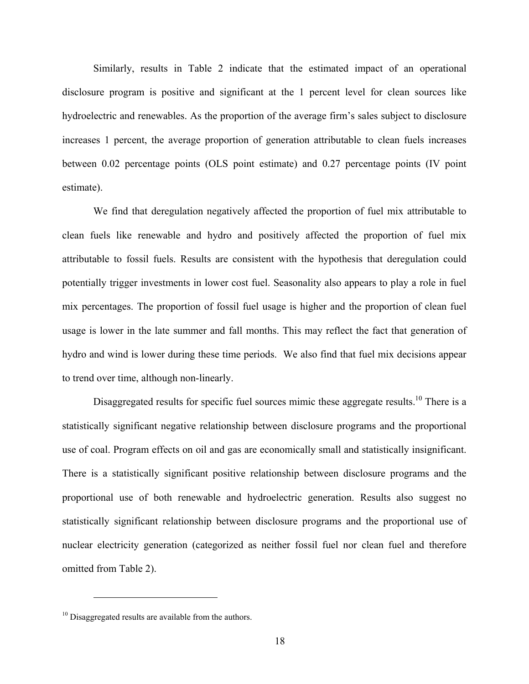Similarly, results in Table 2 indicate that the estimated impact of an operational disclosure program is positive and significant at the 1 percent level for clean sources like hydroelectric and renewables. As the proportion of the average firm's sales subject to disclosure increases 1 percent, the average proportion of generation attributable to clean fuels increases between 0.02 percentage points (OLS point estimate) and 0.27 percentage points (IV point estimate).

We find that deregulation negatively affected the proportion of fuel mix attributable to clean fuels like renewable and hydro and positively affected the proportion of fuel mix attributable to fossil fuels. Results are consistent with the hypothesis that deregulation could potentially trigger investments in lower cost fuel. Seasonality also appears to play a role in fuel mix percentages. The proportion of fossil fuel usage is higher and the proportion of clean fuel usage is lower in the late summer and fall months. This may reflect the fact that generation of hydro and wind is lower during these time periods. We also find that fuel mix decisions appear to trend over time, although non-linearly.

Disaggregated results for specific fuel sources mimic these aggregate results.<sup>10</sup> There is a statistically significant negative relationship between disclosure programs and the proportional use of coal. Program effects on oil and gas are economically small and statistically insignificant. There is a statistically significant positive relationship between disclosure programs and the proportional use of both renewable and hydroelectric generation. Results also suggest no statistically significant relationship between disclosure programs and the proportional use of nuclear electricity generation (categorized as neither fossil fuel nor clean fuel and therefore omitted from Table 2).

i<br>L

<sup>&</sup>lt;sup>10</sup> Disaggregated results are available from the authors.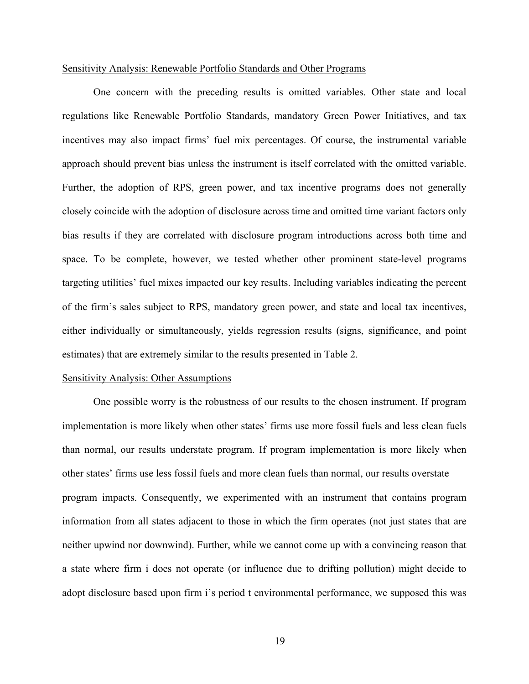#### Sensitivity Analysis: Renewable Portfolio Standards and Other Programs

One concern with the preceding results is omitted variables. Other state and local regulations like Renewable Portfolio Standards, mandatory Green Power Initiatives, and tax incentives may also impact firms' fuel mix percentages. Of course, the instrumental variable approach should prevent bias unless the instrument is itself correlated with the omitted variable. Further, the adoption of RPS, green power, and tax incentive programs does not generally closely coincide with the adoption of disclosure across time and omitted time variant factors only bias results if they are correlated with disclosure program introductions across both time and space. To be complete, however, we tested whether other prominent state-level programs targeting utilities' fuel mixes impacted our key results. Including variables indicating the percent of the firm's sales subject to RPS, mandatory green power, and state and local tax incentives, either individually or simultaneously, yields regression results (signs, significance, and point estimates) that are extremely similar to the results presented in Table 2.

#### Sensitivity Analysis: Other Assumptions

 One possible worry is the robustness of our results to the chosen instrument. If program implementation is more likely when other states' firms use more fossil fuels and less clean fuels than normal, our results understate program. If program implementation is more likely when other states' firms use less fossil fuels and more clean fuels than normal, our results overstate program impacts. Consequently, we experimented with an instrument that contains program information from all states adjacent to those in which the firm operates (not just states that are neither upwind nor downwind). Further, while we cannot come up with a convincing reason that a state where firm i does not operate (or influence due to drifting pollution) might decide to adopt disclosure based upon firm i's period t environmental performance, we supposed this was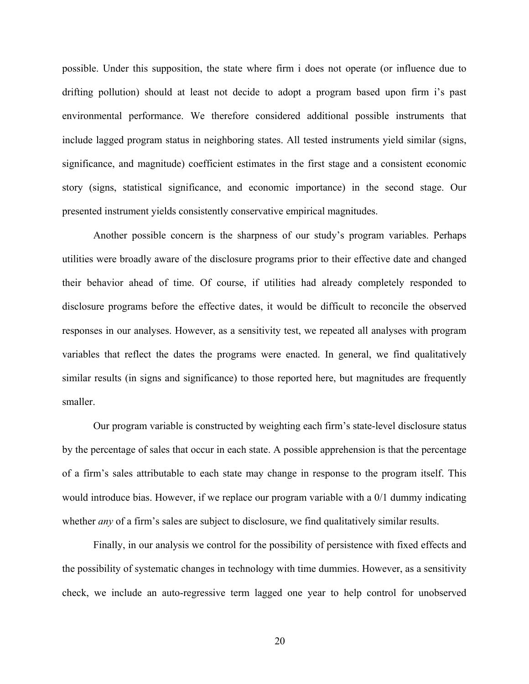possible. Under this supposition, the state where firm i does not operate (or influence due to drifting pollution) should at least not decide to adopt a program based upon firm i's past environmental performance. We therefore considered additional possible instruments that include lagged program status in neighboring states. All tested instruments yield similar (signs, significance, and magnitude) coefficient estimates in the first stage and a consistent economic story (signs, statistical significance, and economic importance) in the second stage. Our presented instrument yields consistently conservative empirical magnitudes.

Another possible concern is the sharpness of our study's program variables. Perhaps utilities were broadly aware of the disclosure programs prior to their effective date and changed their behavior ahead of time. Of course, if utilities had already completely responded to disclosure programs before the effective dates, it would be difficult to reconcile the observed responses in our analyses. However, as a sensitivity test, we repeated all analyses with program variables that reflect the dates the programs were enacted. In general, we find qualitatively similar results (in signs and significance) to those reported here, but magnitudes are frequently smaller.

Our program variable is constructed by weighting each firm's state-level disclosure status by the percentage of sales that occur in each state. A possible apprehension is that the percentage of a firm's sales attributable to each state may change in response to the program itself. This would introduce bias. However, if we replace our program variable with a 0/1 dummy indicating whether *any* of a firm's sales are subject to disclosure, we find qualitatively similar results.

Finally, in our analysis we control for the possibility of persistence with fixed effects and the possibility of systematic changes in technology with time dummies. However, as a sensitivity check, we include an auto-regressive term lagged one year to help control for unobserved

20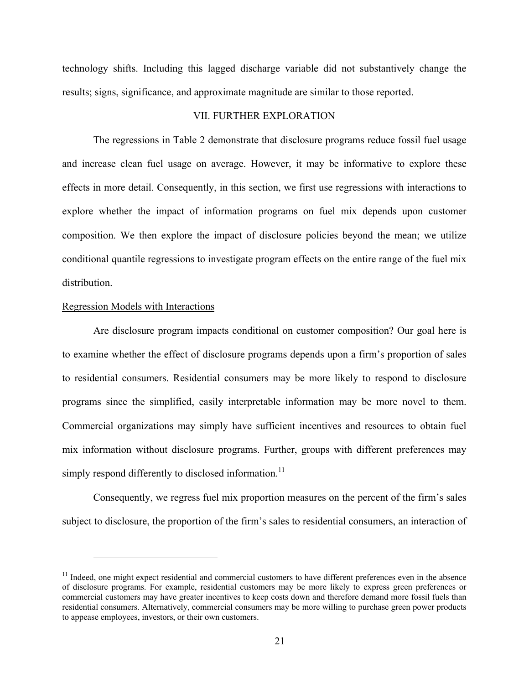technology shifts. Including this lagged discharge variable did not substantively change the results; signs, significance, and approximate magnitude are similar to those reported.

## VII. FURTHER EXPLORATION

The regressions in Table 2 demonstrate that disclosure programs reduce fossil fuel usage and increase clean fuel usage on average. However, it may be informative to explore these effects in more detail. Consequently, in this section, we first use regressions with interactions to explore whether the impact of information programs on fuel mix depends upon customer composition. We then explore the impact of disclosure policies beyond the mean; we utilize conditional quantile regressions to investigate program effects on the entire range of the fuel mix distribution.

#### Regression Models with Interactions

i

Are disclosure program impacts conditional on customer composition? Our goal here is to examine whether the effect of disclosure programs depends upon a firm's proportion of sales to residential consumers. Residential consumers may be more likely to respond to disclosure programs since the simplified, easily interpretable information may be more novel to them. Commercial organizations may simply have sufficient incentives and resources to obtain fuel mix information without disclosure programs. Further, groups with different preferences may simply respond differently to disclosed information.<sup>11</sup>

Consequently, we regress fuel mix proportion measures on the percent of the firm's sales subject to disclosure, the proportion of the firm's sales to residential consumers, an interaction of

 $<sup>11</sup>$  Indeed, one might expect residential and commercial customers to have different preferences even in the absence</sup> of disclosure programs. For example, residential customers may be more likely to express green preferences or commercial customers may have greater incentives to keep costs down and therefore demand more fossil fuels than residential consumers. Alternatively, commercial consumers may be more willing to purchase green power products to appease employees, investors, or their own customers.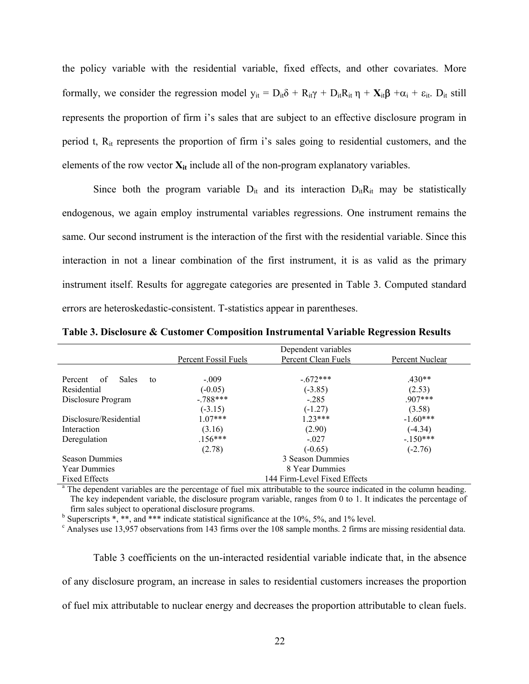the policy variable with the residential variable, fixed effects, and other covariates. More formally, we consider the regression model  $y_{it} = D_{it}\delta + R_{it}\gamma + D_{it}R_{it}\eta + X_{it}\beta + \alpha_i + \epsilon_{it}$ .  $D_{it}$  still represents the proportion of firm i's sales that are subject to an effective disclosure program in period t, Rit represents the proportion of firm i's sales going to residential customers, and the elements of the row vector  $\mathbf{X}_{it}$  include all of the non-program explanatory variables.

Since both the program variable  $D_{it}$  and its interaction  $D_{it}R_{it}$  may be statistically endogenous, we again employ instrumental variables regressions. One instrument remains the same. Our second instrument is the interaction of the first with the residential variable. Since this interaction in not a linear combination of the first instrument, it is as valid as the primary instrument itself. Results for aggregate categories are presented in Table 3. Computed standard errors are heteroskedastic-consistent. T-statistics appear in parentheses.

|                              | Dependent variables |                 |  |  |
|------------------------------|---------------------|-----------------|--|--|
| Percent Fossil Fuels         | Percent Clean Fuels | Percent Nuclear |  |  |
|                              |                     |                 |  |  |
| $-.009$                      | $-672***$           | $430**$         |  |  |
| $(-0.05)$                    | $(-3.85)$           | (2.53)          |  |  |
| $-788***$                    | $-285$              | $907***$        |  |  |
| $(-3.15)$                    | $(-1.27)$           | (3.58)          |  |  |
| $1.07***$                    | $123***$            | $-1.60***$      |  |  |
| (3.16)                       | (2.90)              | $(-4.34)$       |  |  |
| $.156***$                    | $-.027$             | $-150***$       |  |  |
| (2.78)                       | $(-0.65)$           | $(-2.76)$       |  |  |
| 3 Season Dummies             |                     |                 |  |  |
| 8 Year Dummies               |                     |                 |  |  |
| 144 Firm-Level Fixed Effects |                     |                 |  |  |
|                              |                     |                 |  |  |

**Table 3. Disclosure & Customer Composition Instrumental Variable Regression Results** 

<sup>a</sup> The dependent variables are the percentage of fuel mix attributable to the source indicated in the column heading. The key independent variable, the disclosure program variable, ranges from 0 to 1. It indicates the percentage of firm sales subject to operational disclosure programs.

<sup>b</sup> Superscripts  $\ast$ ,  $\ast\ast$ , and  $\ast\ast\ast$  indicate statistical significance at the 10%, 5%, and 1% level.

<sup>c</sup> Analyses use 13,957 observations from 143 firms over the 108 sample months. 2 firms are missing residential data.

Table 3 coefficients on the un-interacted residential variable indicate that, in the absence of any disclosure program, an increase in sales to residential customers increases the proportion of fuel mix attributable to nuclear energy and decreases the proportion attributable to clean fuels.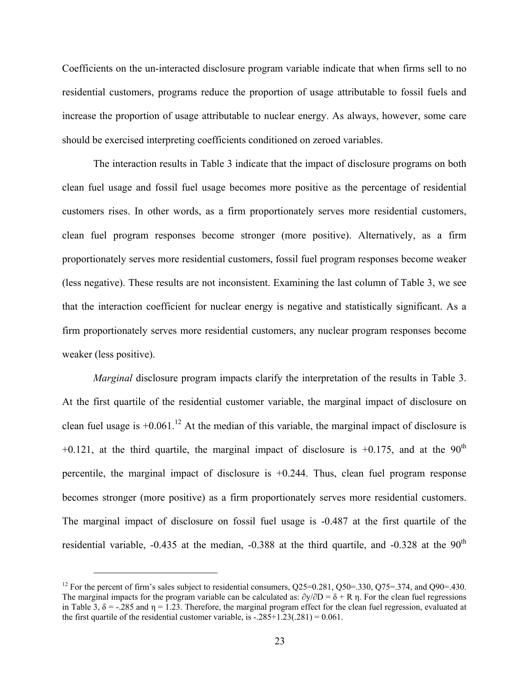Coefficients on the un-interacted disclosure program variable indicate that when firms sell to no residential customers, programs reduce the proportion of usage attributable to fossil fuels and increase the proportion of usage attributable to nuclear energy. As always, however, some care should be exercised interpreting coefficients conditioned on zeroed variables.

The interaction results in Table 3 indicate that the impact of disclosure programs on both clean fuel usage and fossil fuel usage becomes more positive as the percentage of residential customers rises. In other words, as a firm proportionately serves more residential customers, clean fuel program responses become stronger (more positive). Alternatively, as a firm proportionately serves more residential customers, fossil fuel program responses become weaker (less negative). These results are not inconsistent. Examining the last column of Table 3, we see that the interaction coefficient for nuclear energy is negative and statistically significant. As a firm proportionately serves more residential customers, any nuclear program responses become weaker (less positive).

*Marginal* disclosure program impacts clarify the interpretation of the results in Table 3. At the first quartile of the residential customer variable, the marginal impact of disclosure on clean fuel usage is  $+0.061$ .<sup>12</sup> At the median of this variable, the marginal impact of disclosure is  $+0.121$ , at the third quartile, the marginal impact of disclosure is  $+0.175$ , and at the 90<sup>th</sup> percentile, the marginal impact of disclosure is +0.244. Thus, clean fuel program response becomes stronger (more positive) as a firm proportionately serves more residential customers. The marginal impact of disclosure on fossil fuel usage is -0.487 at the first quartile of the residential variable,  $-0.435$  at the median,  $-0.388$  at the third quartile, and  $-0.328$  at the  $90<sup>th</sup>$ 

i<br>L

<sup>&</sup>lt;sup>12</sup> For the percent of firm's sales subject to residential consumers,  $Q25=0.281$ ,  $Q50=.330$ ,  $Q75=.374$ , and  $Q90=.430$ . The marginal impacts for the program variable can be calculated as:  $\partial y/\partial D = \delta + R n$ . For the clean fuel regressions in Table 3,  $\delta$  = -.285 and  $\eta$  = 1.23. Therefore, the marginal program effect for the clean fuel regression, evaluated at the first quartile of the residential customer variable, is  $-.285+1.23(.281) = 0.061$ .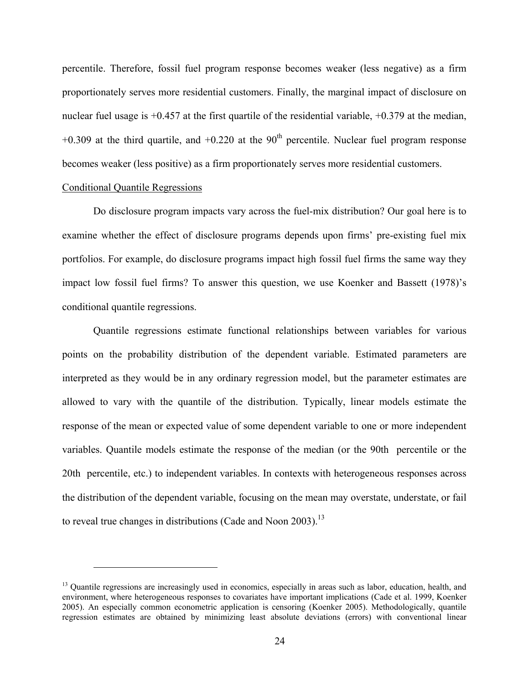percentile. Therefore, fossil fuel program response becomes weaker (less negative) as a firm proportionately serves more residential customers. Finally, the marginal impact of disclosure on nuclear fuel usage is  $+0.457$  at the first quartile of the residential variable,  $+0.379$  at the median,  $+0.309$  at the third quartile, and  $+0.220$  at the 90<sup>th</sup> percentile. Nuclear fuel program response becomes weaker (less positive) as a firm proportionately serves more residential customers.

### Conditional Quantile Regressions

i<br>L

Do disclosure program impacts vary across the fuel-mix distribution? Our goal here is to examine whether the effect of disclosure programs depends upon firms' pre-existing fuel mix portfolios. For example, do disclosure programs impact high fossil fuel firms the same way they impact low fossil fuel firms? To answer this question, we use Koenker and Bassett (1978)'s conditional quantile regressions.

Quantile regressions estimate functional relationships between variables for various points on the probability distribution of the dependent variable. Estimated parameters are interpreted as they would be in any ordinary regression model, but the parameter estimates are allowed to vary with the quantile of the distribution. Typically, linear models estimate the response of the mean or expected value of some dependent variable to one or more independent variables. Quantile models estimate the response of the median (or the 90th percentile or the 20th percentile, etc.) to independent variables. In contexts with heterogeneous responses across the distribution of the dependent variable, focusing on the mean may overstate, understate, or fail to reveal true changes in distributions (Cade and Noon 2003).<sup>13</sup>

<sup>&</sup>lt;sup>13</sup> Quantile regressions are increasingly used in economics, especially in areas such as labor, education, health, and environment, where heterogeneous responses to covariates have important implications (Cade et al. 1999, Koenker 2005). An especially common econometric application is censoring (Koenker 2005). Methodologically, quantile regression estimates are obtained by minimizing least absolute deviations (errors) with conventional linear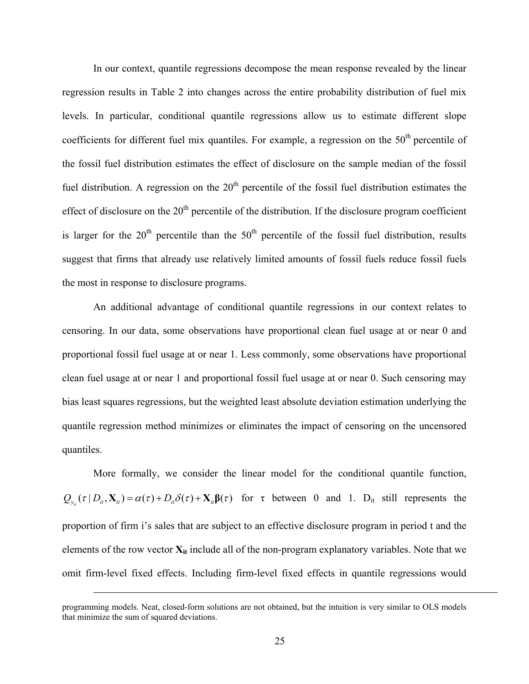In our context, quantile regressions decompose the mean response revealed by the linear regression results in Table 2 into changes across the entire probability distribution of fuel mix levels. In particular, conditional quantile regressions allow us to estimate different slope coefficients for different fuel mix quantiles. For example, a regression on the 50<sup>th</sup> percentile of the fossil fuel distribution estimates the effect of disclosure on the sample median of the fossil fuel distribution. A regression on the  $20<sup>th</sup>$  percentile of the fossil fuel distribution estimates the effect of disclosure on the  $20<sup>th</sup>$  percentile of the distribution. If the disclosure program coefficient is larger for the  $20<sup>th</sup>$  percentile than the  $50<sup>th</sup>$  percentile of the fossil fuel distribution, results suggest that firms that already use relatively limited amounts of fossil fuels reduce fossil fuels the most in response to disclosure programs.

An additional advantage of conditional quantile regressions in our context relates to censoring. In our data, some observations have proportional clean fuel usage at or near 0 and proportional fossil fuel usage at or near 1. Less commonly, some observations have proportional clean fuel usage at or near 1 and proportional fossil fuel usage at or near 0. Such censoring may bias least squares regressions, but the weighted least absolute deviation estimation underlying the quantile regression method minimizes or eliminates the impact of censoring on the uncensored quantiles.

More formally, we consider the linear model for the conditional quantile function,  $Q_{\nu}(\tau | D_{\mu}, \mathbf{X}_{\nu}) = \alpha(\tau) + D_{\mu} \delta(\tau) + \mathbf{X}_{\nu} \beta(\tau)$  for  $\tau$  between 0 and 1. D<sub>it</sub> still represents the proportion of firm i's sales that are subject to an effective disclosure program in period t and the elements of the row vector  $X_{it}$  include all of the non-program explanatory variables. Note that we omit firm-level fixed effects. Including firm-level fixed effects in quantile regressions would

i

programming models. Neat, closed-form solutions are not obtained, but the intuition is very similar to OLS models that minimize the sum of squared deviations.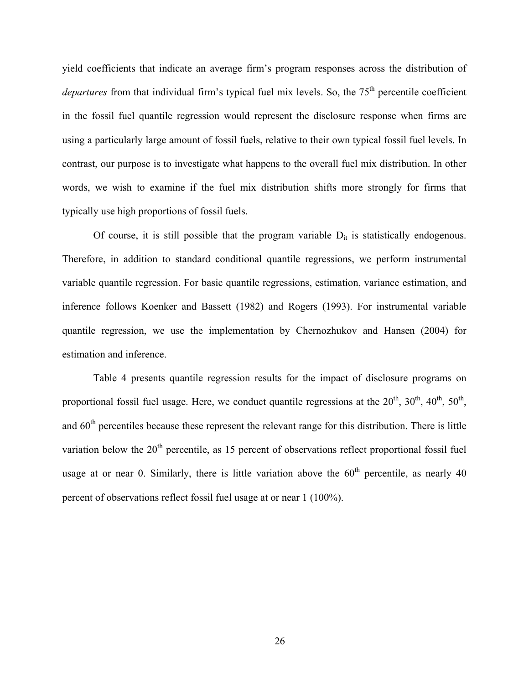yield coefficients that indicate an average firm's program responses across the distribution of *departures* from that individual firm's typical fuel mix levels. So, the 75<sup>th</sup> percentile coefficient in the fossil fuel quantile regression would represent the disclosure response when firms are using a particularly large amount of fossil fuels, relative to their own typical fossil fuel levels. In contrast, our purpose is to investigate what happens to the overall fuel mix distribution. In other words, we wish to examine if the fuel mix distribution shifts more strongly for firms that typically use high proportions of fossil fuels.

Of course, it is still possible that the program variable  $D_{it}$  is statistically endogenous. Therefore, in addition to standard conditional quantile regressions, we perform instrumental variable quantile regression. For basic quantile regressions, estimation, variance estimation, and inference follows Koenker and Bassett (1982) and Rogers (1993). For instrumental variable quantile regression, we use the implementation by Chernozhukov and Hansen (2004) for estimation and inference.

Table 4 presents quantile regression results for the impact of disclosure programs on proportional fossil fuel usage. Here, we conduct quantile regressions at the  $20^{th}$ ,  $30^{th}$ ,  $40^{th}$ ,  $50^{th}$ , and 60<sup>th</sup> percentiles because these represent the relevant range for this distribution. There is little variation below the  $20<sup>th</sup>$  percentile, as 15 percent of observations reflect proportional fossil fuel usage at or near 0. Similarly, there is little variation above the  $60<sup>th</sup>$  percentile, as nearly 40 percent of observations reflect fossil fuel usage at or near 1 (100%).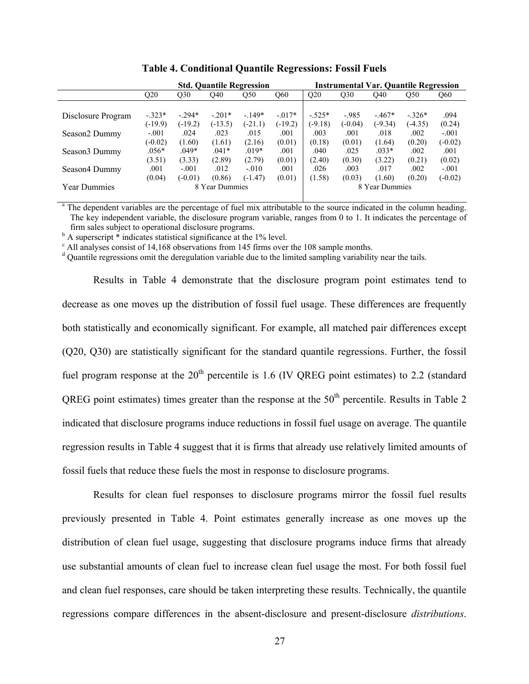|                           |           | <b>Std. Quantile Regression</b> |           |                | <b>Instrumental Var. Quantile Regression</b> |           |           |           |           |           |
|---------------------------|-----------|---------------------------------|-----------|----------------|----------------------------------------------|-----------|-----------|-----------|-----------|-----------|
|                           | Q20       | Q30                             | O40       | Q50            | Q60                                          | Q20       | Q30       | O40       | Q50       | Q60       |
|                           |           |                                 |           |                |                                              |           |           |           |           |           |
| Disclosure Program        | $-.323*$  | $-294*$                         | $-201*$   | $-149*$        | $-0.017*$                                    | $-.525*$  | $-985$    | $-467*$   | $-326*$   | .094      |
|                           | $(-19.9)$ | $(-19.2)$                       | $(-13.5)$ | $(-21.1)$      | $(-19.2)$                                    | $(-9.18)$ | $(-0.04)$ | $(-9.34)$ | $(-4.35)$ | (0.24)    |
| Season2 Dummy             | $-.001$   | .024                            | .023      | .015           | .001                                         | .003      | .001      | .018      | .002      | $-.001$   |
|                           | $(-0.02)$ | (1.60)                          | (1.61)    | (2.16)         | (0.01)                                       | (0.18)    | (0.01)    | (1.64)    | (0.20)    | $(-0.02)$ |
| Season <sub>3</sub> Dummy | .056*     | $.049*$                         | $.041*$   | $.019*$        | .001                                         | .040      | .025      | $.033*$   | .002      | .001      |
|                           | (3.51)    | (3.33)                          | (2.89)    | (2.79)         | (0.01)                                       | (2.40)    | (0.30)    | (3.22)    | (0.21)    | (0.02)    |
| Season4 Dummy             | .001      | $-.001$                         | .012      | $-.010$        | .001                                         | .026      | .003      | .017      | .002      | $-.001$   |
|                           | (0.04)    | $(-0.01)$                       | (0.86)    | $(-1.47)$      | (0.01)                                       | (1.58)    | (0.03)    | (1.60)    | (0.20)    | $(-0.02)$ |
| <b>Year Dummies</b>       |           | 8 Year Dummies                  |           | 8 Year Dummies |                                              |           |           |           |           |           |
|                           |           |                                 |           |                |                                              |           |           |           |           |           |

| <b>Table 4. Conditional Quantile Regressions: Fossil Fuels</b> |  |  |  |
|----------------------------------------------------------------|--|--|--|
|----------------------------------------------------------------|--|--|--|

<sup>a</sup> The dependent variables are the percentage of fuel mix attributable to the source indicated in the column heading. The key independent variable, the disclosure program variable, ranges from 0 to 1. It indicates the percentage of firm sales subject to operational disclosure programs.

 $b^b$  A superscript  $\stackrel{*}{\scriptstyle{\circ}}$  indicates statistical significance at the 1% level.

<sup>c</sup> All analyses consist of 14,168 observations from 145 firms over the 108 sample months.

<sup>d</sup> Quantile regressions omit the deregulation variable due to the limited sampling variability near the tails.

Results in Table 4 demonstrate that the disclosure program point estimates tend to decrease as one moves up the distribution of fossil fuel usage. These differences are frequently both statistically and economically significant. For example, all matched pair differences except (Q20, Q30) are statistically significant for the standard quantile regressions. Further, the fossil fuel program response at the  $20<sup>th</sup>$  percentile is 1.6 (IV QREG point estimates) to 2.2 (standard QREG point estimates) times greater than the response at the  $50<sup>th</sup>$  percentile. Results in Table 2 indicated that disclosure programs induce reductions in fossil fuel usage on average. The quantile regression results in Table 4 suggest that it is firms that already use relatively limited amounts of fossil fuels that reduce these fuels the most in response to disclosure programs.

Results for clean fuel responses to disclosure programs mirror the fossil fuel results previously presented in Table 4. Point estimates generally increase as one moves up the distribution of clean fuel usage, suggesting that disclosure programs induce firms that already use substantial amounts of clean fuel to increase clean fuel usage the most. For both fossil fuel and clean fuel responses, care should be taken interpreting these results. Technically, the quantile regressions compare differences in the absent-disclosure and present-disclosure *distributions*.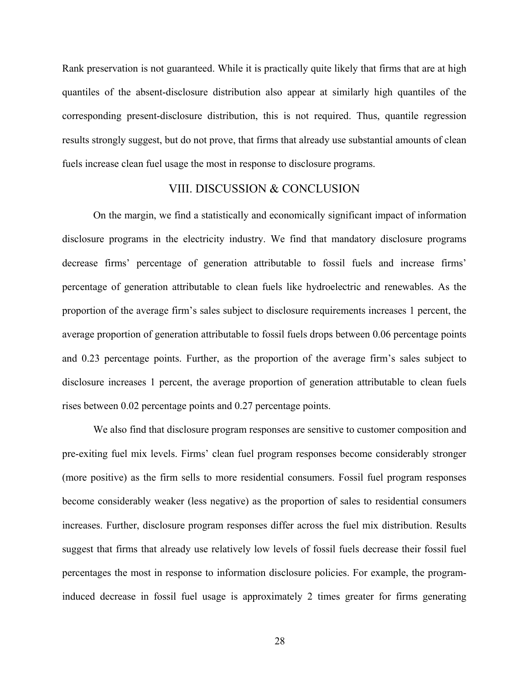Rank preservation is not guaranteed. While it is practically quite likely that firms that are at high quantiles of the absent-disclosure distribution also appear at similarly high quantiles of the corresponding present-disclosure distribution, this is not required. Thus, quantile regression results strongly suggest, but do not prove, that firms that already use substantial amounts of clean fuels increase clean fuel usage the most in response to disclosure programs.

# VIII. DISCUSSION & CONCLUSION

On the margin, we find a statistically and economically significant impact of information disclosure programs in the electricity industry. We find that mandatory disclosure programs decrease firms' percentage of generation attributable to fossil fuels and increase firms' percentage of generation attributable to clean fuels like hydroelectric and renewables. As the proportion of the average firm's sales subject to disclosure requirements increases 1 percent, the average proportion of generation attributable to fossil fuels drops between 0.06 percentage points and 0.23 percentage points. Further, as the proportion of the average firm's sales subject to disclosure increases 1 percent, the average proportion of generation attributable to clean fuels rises between 0.02 percentage points and 0.27 percentage points.

We also find that disclosure program responses are sensitive to customer composition and pre-exiting fuel mix levels. Firms' clean fuel program responses become considerably stronger (more positive) as the firm sells to more residential consumers. Fossil fuel program responses become considerably weaker (less negative) as the proportion of sales to residential consumers increases. Further, disclosure program responses differ across the fuel mix distribution. Results suggest that firms that already use relatively low levels of fossil fuels decrease their fossil fuel percentages the most in response to information disclosure policies. For example, the programinduced decrease in fossil fuel usage is approximately 2 times greater for firms generating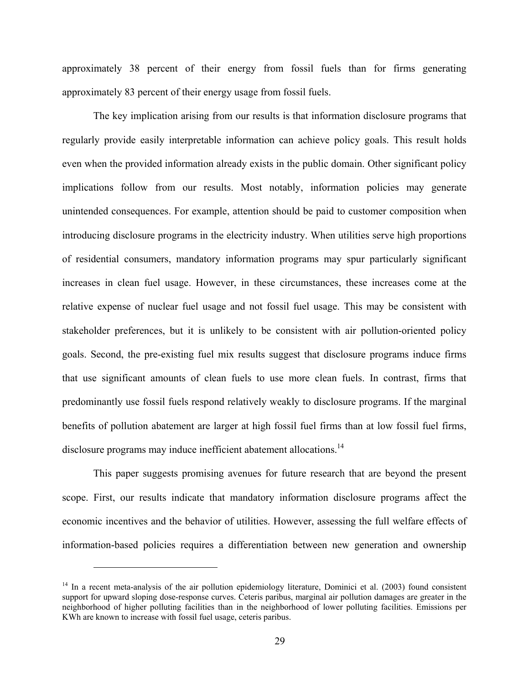approximately 38 percent of their energy from fossil fuels than for firms generating approximately 83 percent of their energy usage from fossil fuels.

The key implication arising from our results is that information disclosure programs that regularly provide easily interpretable information can achieve policy goals. This result holds even when the provided information already exists in the public domain. Other significant policy implications follow from our results. Most notably, information policies may generate unintended consequences. For example, attention should be paid to customer composition when introducing disclosure programs in the electricity industry. When utilities serve high proportions of residential consumers, mandatory information programs may spur particularly significant increases in clean fuel usage. However, in these circumstances, these increases come at the relative expense of nuclear fuel usage and not fossil fuel usage. This may be consistent with stakeholder preferences, but it is unlikely to be consistent with air pollution-oriented policy goals. Second, the pre-existing fuel mix results suggest that disclosure programs induce firms that use significant amounts of clean fuels to use more clean fuels. In contrast, firms that predominantly use fossil fuels respond relatively weakly to disclosure programs. If the marginal benefits of pollution abatement are larger at high fossil fuel firms than at low fossil fuel firms, disclosure programs may induce inefficient abatement allocations.<sup>14</sup>

This paper suggests promising avenues for future research that are beyond the present scope. First, our results indicate that mandatory information disclosure programs affect the economic incentives and the behavior of utilities. However, assessing the full welfare effects of information-based policies requires a differentiation between new generation and ownership

i<br>L

 $14$  In a recent meta-analysis of the air pollution epidemiology literature, Dominici et al. (2003) found consistent support for upward sloping dose-response curves. Ceteris paribus, marginal air pollution damages are greater in the neighborhood of higher polluting facilities than in the neighborhood of lower polluting facilities. Emissions per KWh are known to increase with fossil fuel usage, ceteris paribus.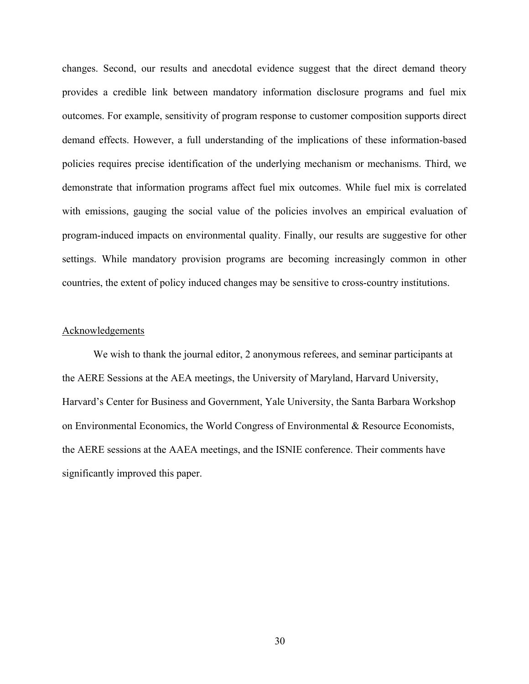changes. Second, our results and anecdotal evidence suggest that the direct demand theory provides a credible link between mandatory information disclosure programs and fuel mix outcomes. For example, sensitivity of program response to customer composition supports direct demand effects. However, a full understanding of the implications of these information-based policies requires precise identification of the underlying mechanism or mechanisms. Third, we demonstrate that information programs affect fuel mix outcomes. While fuel mix is correlated with emissions, gauging the social value of the policies involves an empirical evaluation of program-induced impacts on environmental quality. Finally, our results are suggestive for other settings. While mandatory provision programs are becoming increasingly common in other countries, the extent of policy induced changes may be sensitive to cross-country institutions.

### Acknowledgements

 We wish to thank the journal editor, 2 anonymous referees, and seminar participants at the AERE Sessions at the AEA meetings, the University of Maryland, Harvard University, Harvard's Center for Business and Government, Yale University, the Santa Barbara Workshop on Environmental Economics, the World Congress of Environmental & Resource Economists, the AERE sessions at the AAEA meetings, and the ISNIE conference. Their comments have significantly improved this paper.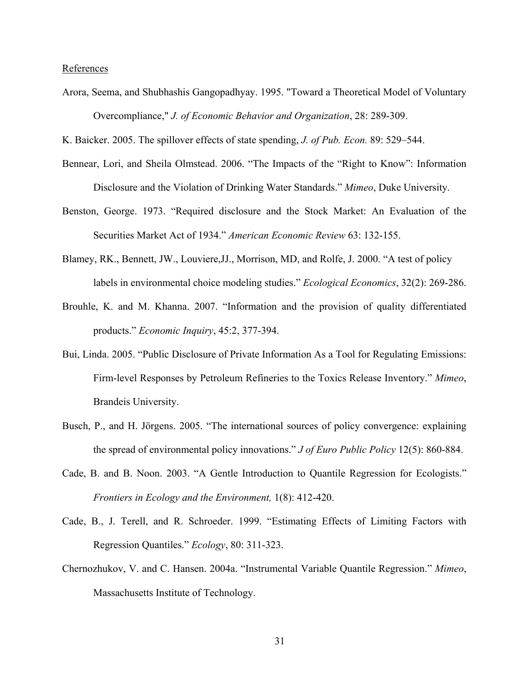### **References**

Arora, Seema, and Shubhashis Gangopadhyay. 1995. "Toward a Theoretical Model of Voluntary Overcompliance," *J. of Economic Behavior and Organization*, 28: 289-309.

K. Baicker. 2005. The spillover effects of state spending, *J. of Pub. Econ.* 89: 529–544.

- Bennear, Lori, and Sheila Olmstead. 2006. "The Impacts of the "Right to Know": Information Disclosure and the Violation of Drinking Water Standards." *Mimeo*, Duke University.
- Benston, George. 1973. "Required disclosure and the Stock Market: An Evaluation of the Securities Market Act of 1934." *American Economic Review* 63: 132-155.
- Blamey, RK., Bennett, JW., Louviere,JJ., Morrison, MD, and Rolfe, J. 2000. "A test of policy labels in environmental choice modeling studies." *Ecological Economics*, 32(2): 269-286.
- Brouhle, K. and M. Khanna. 2007. "Information and the provision of quality differentiated products." *Economic Inquiry*, 45:2, 377-394.
- Bui, Linda. 2005. "Public Disclosure of Private Information As a Tool for Regulating Emissions: Firm-level Responses by Petroleum Refineries to the Toxics Release Inventory." *Mimeo*, Brandeis University.
- Busch, P., and H. Jörgens. 2005. "The international sources of policy convergence: explaining the spread of environmental policy innovations." *J of Euro Public Policy* 12(5): 860-884.
- Cade, B. and B. Noon. 2003. "A Gentle Introduction to Quantile Regression for Ecologists." *Frontiers in Ecology and the Environment,* 1(8): 412-420.
- Cade, B., J. Terell, and R. Schroeder. 1999. "Estimating Effects of Limiting Factors with Regression Quantiles." *Ecology*, 80: 311-323.
- Chernozhukov, V. and C. Hansen. 2004a. "Instrumental Variable Quantile Regression." *Mimeo*, Massachusetts Institute of Technology.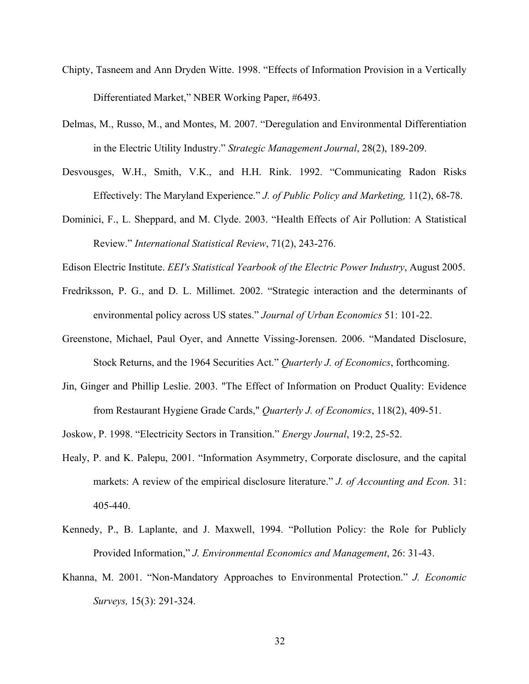- Chipty, Tasneem and Ann Dryden Witte. 1998. "Effects of Information Provision in a Vertically Differentiated Market," NBER Working Paper, #6493.
- Delmas, M., Russo, M., and Montes, M. 2007. "Deregulation and Environmental Differentiation in the Electric Utility Industry." *Strategic Management Journal*, 28(2), 189-209.
- Desvousges, W.H., Smith, V.K., and H.H. Rink. 1992. "Communicating Radon Risks Effectively: The Maryland Experience." *J. of Public Policy and Marketing,* 11(2), 68-78.
- Dominici, F., L. Sheppard, and M. Clyde. 2003. "Health Effects of Air Pollution: A Statistical Review." *International Statistical Review*, 71(2), 243-276.

Edison Electric Institute. *EEI's Statistical Yearbook of the Electric Power Industry*, August 2005.

- Fredriksson, P. G., and D. L. Millimet. 2002. "Strategic interaction and the determinants of environmental policy across US states." *Journal of Urban Economics* 51: 101-22.
- Greenstone, Michael, Paul Oyer, and Annette Vissing-Jorensen. 2006. "Mandated Disclosure, Stock Returns, and the 1964 Securities Act." *Quarterly J. of Economics*, forthcoming.
- Jin, Ginger and Phillip Leslie. 2003. "The Effect of Information on Product Quality: Evidence from Restaurant Hygiene Grade Cards," *Quarterly J. of Economics*, 118(2), 409-51.

Joskow, P. 1998. "Electricity Sectors in Transition." *Energy Journal*, 19:2, 25-52.

- Healy, P. and K. Palepu, 2001. "Information Asymmetry, Corporate disclosure, and the capital markets: A review of the empirical disclosure literature." *J. of Accounting and Econ.* 31: 405-440.
- Kennedy, P., B. Laplante, and J. Maxwell, 1994. "Pollution Policy: the Role for Publicly Provided Information," *J. Environmental Economics and Management*, 26: 31-43.
- Khanna, M. 2001. "Non-Mandatory Approaches to Environmental Protection." *J. Economic Surveys,* 15(3): 291-324.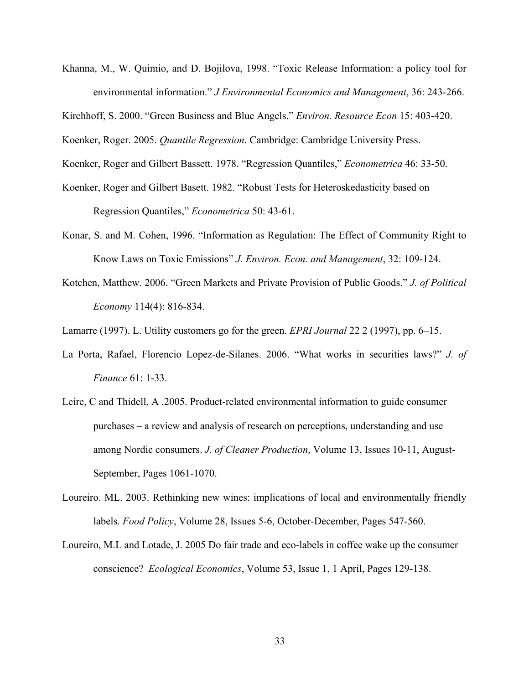- Khanna, M., W. Quimio, and D. Bojilova, 1998. "Toxic Release Information: a policy tool for environmental information." *J Environmental Economics and Management*, 36: 243-266.
- Kirchhoff, S. 2000. "Green Business and Blue Angels." *Environ. Resource Econ* 15: 403-420.
- Koenker, Roger. 2005. *Quantile Regression*. Cambridge: Cambridge University Press.
- Koenker, Roger and Gilbert Bassett. 1978. "Regression Quantiles," *Econometrica* 46: 33-50.
- Koenker, Roger and Gilbert Basett. 1982. "Robust Tests for Heteroskedasticity based on Regression Quantiles," *Econometrica* 50: 43-61.
- Konar, S. and M. Cohen, 1996. "Information as Regulation: The Effect of Community Right to Know Laws on Toxic Emissions" *J. Environ. Econ. and Management*, 32: 109-124.
- Kotchen, Matthew. 2006. "Green Markets and Private Provision of Public Goods." *J. of Political Economy* 114(4): 816-834.
- Lamarre (1997). L. Utility customers go for the green. *EPRI Journal* 22 2 (1997), pp. 6–15.
- La Porta, Rafael, Florencio Lopez-de-Silanes. 2006. "What works in securities laws?" *J. of Finance* 61: 1-33.
- Leire, C and Thidell, A .2005. Product-related environmental information to guide consumer purchases – a review and analysis of research on perceptions, understanding and use among Nordic consumers. *J. of Cleaner Production*, Volume 13, Issues 10-11, August-September, Pages 1061-1070.
- Loureiro. ML. 2003. Rethinking new wines: implications of local and environmentally friendly labels. *Food Policy*, Volume 28, Issues 5-6, October-December, Pages 547-560.
- Loureiro, M.L and Lotade, J. 2005 Do fair trade and eco-labels in coffee wake up the consumer conscience? *Ecological Economics*, Volume 53, Issue 1, 1 April, Pages 129-138.